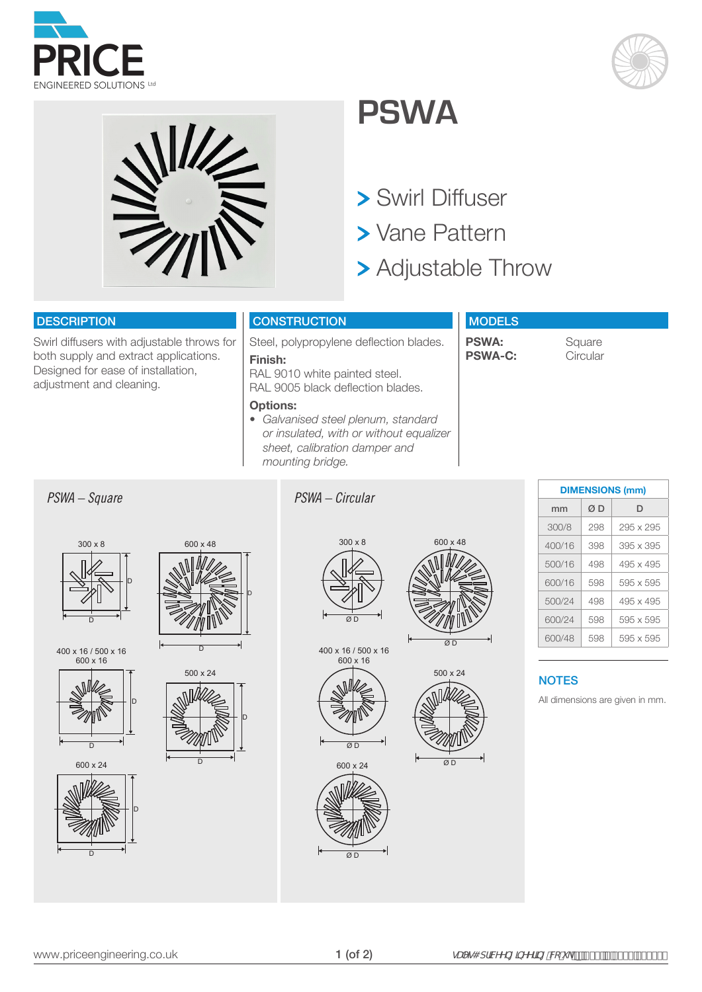





## **PSWA**

- Swirl Diffuser
- **> Vane Pattern**
- Adjustable Throw

### **DESCRIPTION**

Swirl diffusers with adjustable throws for both supply and extract applications. Designed for ease of installation, adjustment and cleaning.

## **CONSTRUCTION**

Steel, polypropylene deflection blades. **Finish:** 

RAL 9010 white painted steel. RAL 9005 black deflection blades.

#### **Options:**

*• Galvanised steel plenum, standard or insulated, with or without equalizer sheet, calibration damper and mounting bridge.*

## **MODELS**

**PSWA:** Square<br>**PSWA-C:** Circular **PSWA-C:** 

## *PSWA – Square PSWA – Circular*



400 x 16 / 500 x 16 600 x 16



D

600 x 24









500 x 24 D D

600 x 48





400 x 16 / 500 x 16 600 x 16



600 x 24



Ø D 600 x 48

500 x 24

 $\alpha$ <sub>D</sub>

| ווווון טווטוטוועווע |     |                  |  |  |  |  |  |  |  |  |  |  |
|---------------------|-----|------------------|--|--|--|--|--|--|--|--|--|--|
| mm                  | ØΒ  | D                |  |  |  |  |  |  |  |  |  |  |
| 300/8               | 298 | 295 x 295        |  |  |  |  |  |  |  |  |  |  |
| 400/16              | 398 | $395 \times 395$ |  |  |  |  |  |  |  |  |  |  |
| 500/16              | 498 | 495 x 495        |  |  |  |  |  |  |  |  |  |  |
| 600/16              | 598 | 595 x 595        |  |  |  |  |  |  |  |  |  |  |
| 500/24              | 498 | 495 x 495        |  |  |  |  |  |  |  |  |  |  |
| 600/24              | 598 | 595 x 595        |  |  |  |  |  |  |  |  |  |  |
| 600/48              | 598 | 595 x 595        |  |  |  |  |  |  |  |  |  |  |

**DIMENSIONS (mm)**

## **NOTES**

All dimensions are given in mm.